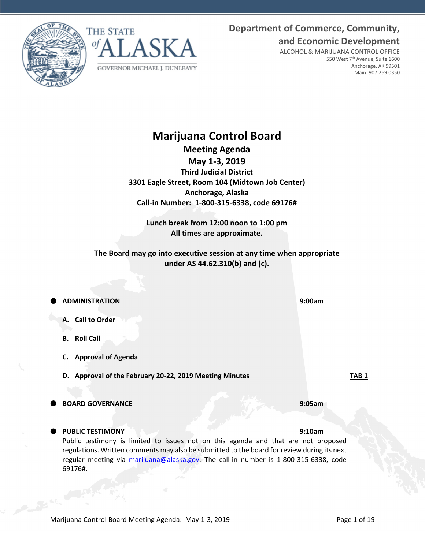**Department of Commerce, Community, and Economic Development**

> ALCOHOL & MARIJUANA CONTROL OFFICE 550 West 7th Avenue, Suite 1600 Anchorage, AK 99501 Main: 907.269.0350

# **Marijuana Control Board Meeting Agenda**

**May 1-3, 2019 Third Judicial District 3301 Eagle Street, Room 104 (Midtown Job Center) Anchorage, Alaska Call-in Number: 1-800-315-6338, code 69176#**

**Lunch break from 12:00 noon to 1:00 pm All times are approximate.**

**The Board may go into executive session at any time when appropriate under AS 44.62.310(b) and (c).**

**ADMINISTRATION 9:00am**

- **A. Call to Order**
- **B. Roll Call**
- **C. Approval of Agenda**
- **D. Approval of the February 20-22, 2019 Meeting Minutes TAB 1**
- **BOARD GOVERNANCE 9:05am**

# **PUBLIC TESTIMONY 9:10am**

Public testimony is limited to issues not on this agenda and that are not proposed regulations. Written comments may also be submitted to the board for review during its next regular meeting via [marijuana@alaska.gov.](mailto:marijuana@alaska.gov) The call-in number is 1-800-315-6338, code 69176#.





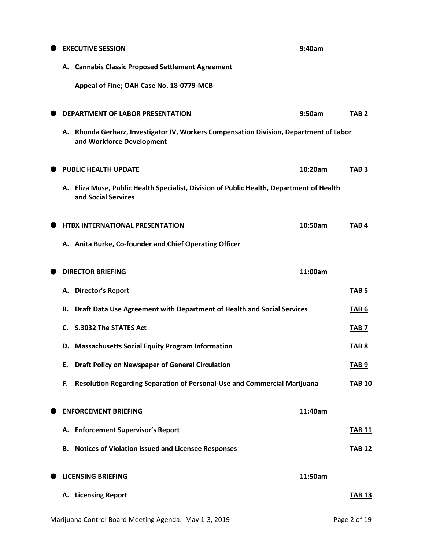|    | <b>EXECUTIVE SESSION</b>                                                                                            | 9:40am  |                  |
|----|---------------------------------------------------------------------------------------------------------------------|---------|------------------|
|    | A. Cannabis Classic Proposed Settlement Agreement                                                                   |         |                  |
|    | Appeal of Fine; OAH Case No. 18-0779-MCB                                                                            |         |                  |
|    | DEPARTMENT OF LABOR PRESENTATION                                                                                    | 9:50am  | TAB <sub>2</sub> |
|    | A. Rhonda Gerharz, Investigator IV, Workers Compensation Division, Department of Labor<br>and Workforce Development |         |                  |
|    | <b>PUBLIC HEALTH UPDATE</b>                                                                                         | 10:20am | TAB <sub>3</sub> |
|    | A. Eliza Muse, Public Health Specialist, Division of Public Health, Department of Health<br>and Social Services     |         |                  |
|    | <b>HTBX INTERNATIONAL PRESENTATION</b>                                                                              | 10:50am | TAB4             |
|    | A. Anita Burke, Co-founder and Chief Operating Officer                                                              |         |                  |
|    | <b>DIRECTOR BRIEFING</b>                                                                                            | 11:00am |                  |
| А. | <b>Director's Report</b>                                                                                            |         | TAB <sub>5</sub> |
| В. | Draft Data Use Agreement with Department of Health and Social Services                                              |         | TAB <sub>6</sub> |
| C. | <b>S.3032 The STATES Act</b>                                                                                        |         | TAB 7            |
|    | D. Massachusetts Social Equity Program Information                                                                  |         | TAB <sub>8</sub> |
| Ε. | <b>Draft Policy on Newspaper of General Circulation</b>                                                             |         | TAB <sub>9</sub> |
| F. | Resolution Regarding Separation of Personal-Use and Commercial Marijuana                                            |         | <b>TAB 10</b>    |
|    | <b>ENFORCEMENT BRIEFING</b>                                                                                         | 11:40am |                  |
|    | A. Enforcement Supervisor's Report                                                                                  |         | <b>TAB 11</b>    |
| В. | <b>Notices of Violation Issued and Licensee Responses</b>                                                           |         | <b>TAB 12</b>    |
|    | <b>LICENSING BRIEFING</b>                                                                                           | 11:50am |                  |
|    | A. Licensing Report                                                                                                 |         | <b>TAB 13</b>    |
|    | Marijuana Control Board Meeting Agenda: May 1-3, 2019                                                               |         | Page 2 of 19     |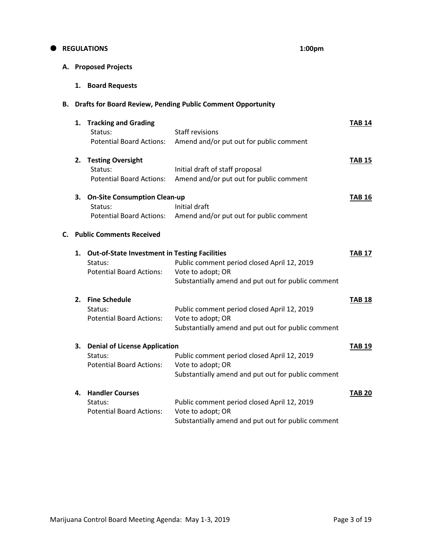# **REGULATIONS 1:00pm**

# **A. Proposed Projects**

**1. Board Requests**

# **B. Drafts for Board Review, Pending Public Comment Opportunity**

|    | 1. | <b>Tracking and Grading</b><br>Status:<br><b>Potential Board Actions:</b>                          | <b>Staff revisions</b><br>Amend and/or put out for public comment                                                      | <b>TAB 14</b> |
|----|----|----------------------------------------------------------------------------------------------------|------------------------------------------------------------------------------------------------------------------------|---------------|
|    | 2. | <b>Testing Oversight</b><br>Status:<br><b>Potential Board Actions:</b>                             | Initial draft of staff proposal<br>Amend and/or put out for public comment                                             | <b>TAB 15</b> |
|    | 3. | <b>On-Site Consumption Clean-up</b><br>Status:<br><b>Potential Board Actions:</b>                  | Initial draft<br>Amend and/or put out for public comment                                                               | <b>TAB 16</b> |
| С. |    | <b>Public Comments Received</b>                                                                    |                                                                                                                        |               |
|    | 1. | <b>Out-of-State Investment in Testing Facilities</b><br>Status:<br><b>Potential Board Actions:</b> | Public comment period closed April 12, 2019<br>Vote to adopt; OR<br>Substantially amend and put out for public comment | <b>TAB 17</b> |
|    | 2. | <b>Fine Schedule</b><br>Status:<br><b>Potential Board Actions:</b>                                 | Public comment period closed April 12, 2019<br>Vote to adopt; OR<br>Substantially amend and put out for public comment | <b>TAB 18</b> |
|    | 3. | <b>Denial of License Application</b><br>Status:<br><b>Potential Board Actions:</b>                 | Public comment period closed April 12, 2019<br>Vote to adopt; OR<br>Substantially amend and put out for public comment | <b>TAB 19</b> |
|    | 4. | <b>Handler Courses</b><br>Status:<br><b>Potential Board Actions:</b>                               | Public comment period closed April 12, 2019<br>Vote to adopt; OR<br>Substantially amend and put out for public comment | <b>TAB 20</b> |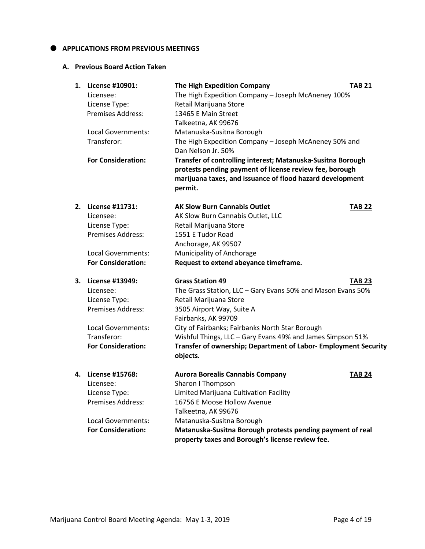# $\bullet$  APPLICATIONS FROM PREVIOUS MEETINGS

# **A. Previous Board Action Taken**

| 1. | License #10901:<br>Licensee:<br>License Type:<br><b>Premises Address:</b>                                                                          | The High Expedition Company<br>The High Expedition Company - Joseph McAneney 100%<br>Retail Marijuana Store<br>13465 E Main Street<br>Talkeetna, AK 99676                                                                                                                                                                                                            | <b>TAB 21</b> |
|----|----------------------------------------------------------------------------------------------------------------------------------------------------|----------------------------------------------------------------------------------------------------------------------------------------------------------------------------------------------------------------------------------------------------------------------------------------------------------------------------------------------------------------------|---------------|
|    | Local Governments:<br>Transferor:                                                                                                                  | Matanuska-Susitna Borough<br>The High Expedition Company - Joseph McAneney 50% and<br>Dan Nelson Jr. 50%                                                                                                                                                                                                                                                             |               |
|    | <b>For Consideration:</b>                                                                                                                          | Transfer of controlling interest; Matanuska-Susitna Borough<br>protests pending payment of license review fee, borough<br>marijuana taxes, and issuance of flood hazard development<br>permit.                                                                                                                                                                       |               |
| 2. | License #11731:<br>Licensee:<br>License Type:<br><b>Premises Address:</b>                                                                          | <b>AK Slow Burn Cannabis Outlet</b><br>AK Slow Burn Cannabis Outlet, LLC<br>Retail Marijuana Store<br>1551 E Tudor Road<br>Anchorage, AK 99507                                                                                                                                                                                                                       | <b>TAB 22</b> |
|    | Local Governments:<br><b>For Consideration:</b>                                                                                                    | Municipality of Anchorage<br>Request to extend abeyance timeframe.                                                                                                                                                                                                                                                                                                   |               |
| 3. | <b>License #13949:</b><br>Licensee:<br>License Type:<br><b>Premises Address:</b><br>Local Governments:<br>Transferor:<br><b>For Consideration:</b> | <b>Grass Station 49</b><br>The Grass Station, LLC - Gary Evans 50% and Mason Evans 50%<br>Retail Marijuana Store<br>3505 Airport Way, Suite A<br>Fairbanks, AK 99709<br>City of Fairbanks; Fairbanks North Star Borough<br>Wishful Things, LLC - Gary Evans 49% and James Simpson 51%<br>Transfer of ownership; Department of Labor- Employment Security<br>objects. | <b>TAB 23</b> |
| 4. | License #15768:<br>Licensee:<br>License Type:<br><b>Premises Address:</b><br>Local Governments:<br><b>For Consideration:</b>                       | <b>Aurora Borealis Cannabis Company</b><br>Sharon I Thompson<br>Limited Marijuana Cultivation Facility<br>16756 E Moose Hollow Avenue<br>Talkeetna, AK 99676<br>Matanuska-Susitna Borough<br>Matanuska-Susitna Borough protests pending payment of real<br>property taxes and Borough's license review fee.                                                          | <b>TAB 24</b> |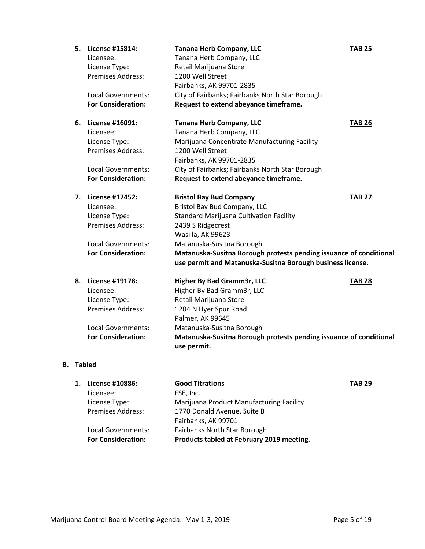| 5. | License #15814:<br>Licensee:<br>License Type:<br>Premises Address:<br>Local Governments:<br><b>For Consideration:</b>    | <b>Tanana Herb Company, LLC</b><br>Tanana Herb Company, LLC<br>Retail Marijuana Store<br>1200 Well Street<br>Fairbanks, AK 99701-2835<br>City of Fairbanks; Fairbanks North Star Borough<br>Request to extend abeyance timeframe.                                                                                           | <b>TAB 25</b> |
|----|--------------------------------------------------------------------------------------------------------------------------|-----------------------------------------------------------------------------------------------------------------------------------------------------------------------------------------------------------------------------------------------------------------------------------------------------------------------------|---------------|
| 6. | License #16091:<br>Licensee:<br>License Type:<br><b>Premises Address:</b>                                                | <b>Tanana Herb Company, LLC</b><br>Tanana Herb Company, LLC<br>Marijuana Concentrate Manufacturing Facility<br>1200 Well Street<br>Fairbanks, AK 99701-2835                                                                                                                                                                 | <b>TAB 26</b> |
|    | Local Governments:                                                                                                       | City of Fairbanks; Fairbanks North Star Borough                                                                                                                                                                                                                                                                             |               |
|    | <b>For Consideration:</b>                                                                                                | Request to extend abeyance timeframe.                                                                                                                                                                                                                                                                                       |               |
|    | 7. License #17452:<br>Licensee:<br>License Type:<br>Premises Address:<br>Local Governments:<br><b>For Consideration:</b> | <b>Bristol Bay Bud Company</b><br>Bristol Bay Bud Company, LLC<br><b>Standard Marijuana Cultivation Facility</b><br>2439 S Ridgecrest<br>Wasilla, AK 99623<br>Matanuska-Susitna Borough<br>Matanuska-Susitna Borough protests pending issuance of conditional<br>use permit and Matanuska-Susitna Borough business license. | <b>TAB 27</b> |
| 8. | License #19178:<br>Licensee:<br>License Type:<br>Premises Address:<br>Local Governments:<br><b>For Consideration:</b>    | Higher By Bad Gramm3r, LLC<br>Higher By Bad Gramm3r, LLC<br>Retail Marijuana Store<br>1204 N Hyer Spur Road<br>Palmer, AK 99645<br>Matanuska-Susitna Borough<br>Matanuska-Susitna Borough protests pending issuance of conditional<br>use permit.                                                                           | <b>TAB 28</b> |

# **B. Tabled**

| 1. License #10886:        | <b>Good Titrations</b>                    | <b>TAB 29</b> |
|---------------------------|-------------------------------------------|---------------|
| Licensee:                 | FSE, Inc.                                 |               |
| License Type:             | Marijuana Product Manufacturing Facility  |               |
| Premises Address:         | 1770 Donald Avenue, Suite B               |               |
|                           | Fairbanks, AK 99701                       |               |
| Local Governments:        | Fairbanks North Star Borough              |               |
| <b>For Consideration:</b> | Products tabled at February 2019 meeting. |               |
|                           |                                           |               |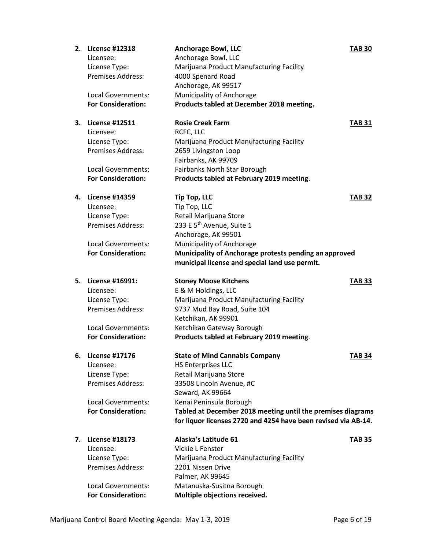|    | 2. License #12318         | <b>Anchorage Bowl, LLC</b>                                     | <b>TAB 30</b> |
|----|---------------------------|----------------------------------------------------------------|---------------|
|    | Licensee:                 | Anchorage Bowl, LLC                                            |               |
|    | License Type:             | Marijuana Product Manufacturing Facility                       |               |
|    | <b>Premises Address:</b>  | 4000 Spenard Road                                              |               |
|    |                           | Anchorage, AK 99517                                            |               |
|    | Local Governments:        | Municipality of Anchorage                                      |               |
|    | <b>For Consideration:</b> | Products tabled at December 2018 meeting.                      |               |
| 3. | <b>License #12511</b>     | <b>Rosie Creek Farm</b>                                        | <b>TAB 31</b> |
|    | Licensee:                 | RCFC, LLC                                                      |               |
|    | License Type:             | Marijuana Product Manufacturing Facility                       |               |
|    | <b>Premises Address:</b>  | 2659 Livingston Loop                                           |               |
|    |                           | Fairbanks, AK 99709                                            |               |
|    | Local Governments:        | Fairbanks North Star Borough                                   |               |
|    | <b>For Consideration:</b> | Products tabled at February 2019 meeting.                      |               |
| 4. | <b>License #14359</b>     | <b>Tip Top, LLC</b>                                            | <b>TAB 32</b> |
|    | Licensee:                 | Tip Top, LLC                                                   |               |
|    | License Type:             | Retail Marijuana Store                                         |               |
|    | <b>Premises Address:</b>  | 233 E 5 <sup>th</sup> Avenue, Suite 1                          |               |
|    |                           | Anchorage, AK 99501                                            |               |
|    | Local Governments:        | Municipality of Anchorage                                      |               |
|    | <b>For Consideration:</b> | Municipality of Anchorage protests pending an approved         |               |
|    |                           | municipal license and special land use permit.                 |               |
|    |                           |                                                                |               |
| 5. | License #16991:           | <b>Stoney Moose Kitchens</b>                                   | <b>TAB 33</b> |
|    |                           |                                                                |               |
|    | Licensee:                 | E & M Holdings, LLC                                            |               |
|    | License Type:             | Marijuana Product Manufacturing Facility                       |               |
|    | <b>Premises Address:</b>  | 9737 Mud Bay Road, Suite 104                                   |               |
|    |                           | Ketchikan, AK 99901                                            |               |
|    | Local Governments:        | Ketchikan Gateway Borough                                      |               |
|    | <b>For Consideration:</b> | Products tabled at February 2019 meeting.                      |               |
|    | 6. License #17176         | <b>State of Mind Cannabis Company</b>                          | <b>TAB 34</b> |
|    | Licensee:                 | <b>HS Enterprises LLC</b>                                      |               |
|    | License Type:             | Retail Marijuana Store                                         |               |
|    | <b>Premises Address:</b>  | 33508 Lincoln Avenue, #C                                       |               |
|    |                           | Seward, AK 99664                                               |               |
|    | Local Governments:        | Kenai Peninsula Borough                                        |               |
|    | <b>For Consideration:</b> | Tabled at December 2018 meeting until the premises diagrams    |               |
|    |                           | for liquor licenses 2720 and 4254 have been revised via AB-14. |               |
| 7. | <b>License #18173</b>     | Alaska's Latitude 61                                           | <b>TAB 35</b> |
|    | Licensee:                 | Vickie L Fenster                                               |               |
|    | License Type:             | Marijuana Product Manufacturing Facility                       |               |
|    | <b>Premises Address:</b>  | 2201 Nissen Drive                                              |               |
|    |                           | Palmer, AK 99645                                               |               |
|    | Local Governments:        | Matanuska-Susitna Borough                                      |               |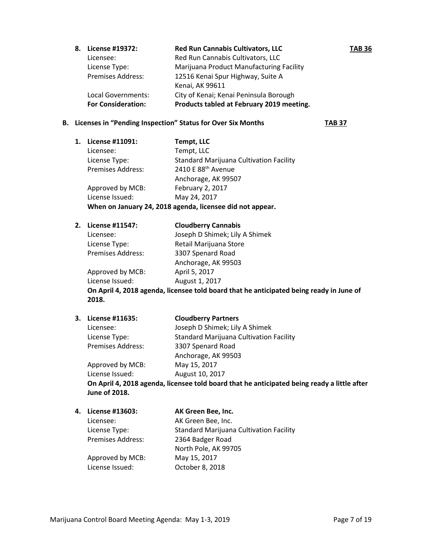**8. License #19372: Red Run Cannabis Cultivators, LLC TAB 36** Licensee: Red Run Cannabis Cultivators, LLC License Type: Marijuana Product Manufacturing Facility Premises Address: 12516 Kenai Spur Highway, Suite A Kenai, AK 99611 Local Governments: City of Kenai; Kenai Peninsula Borough **For Consideration: Products tabled at February 2019 meeting.**

## **B. Licenses in "Pending Inspection" Status for Over Six Months TAB 37**

**1. License #11091: Tempt, LLC** Licensee: Tempt, LLC License Type: Standard Marijuana Cultivation Facility Premises Address: 2410 E 88<sup>th</sup> Avenue Anchorage, AK 99507 Approved by MCB: February 2, 2017 License Issued: May 24, 2017 **When on January 24, 2018 agenda, licensee did not appear.**

| 2. | License #11547:   | <b>Cloudberry Cannabis</b>                                   |
|----|-------------------|--------------------------------------------------------------|
|    | Licensee:         | Joseph D Shimek; Lily A Shimek                               |
|    | License Type:     | Retail Marijuana Store                                       |
|    | Premises Address: | 3307 Spenard Road                                            |
|    |                   | Anchorage, AK 99503                                          |
|    | Approved by MCB:  | April 5, 2017                                                |
|    | License Issued:   | August 1, 2017                                               |
|    |                   | On April 4, 2018 agonda, licensee told board that he anticip |

**On April 4, 2018 agenda, licensee told board that he anticipated being ready in June of 2018.**

Licensee: Joseph D Shimek; Lily A Shimek

# **3. License #11635: Cloudberry Partners**

Premises Address: 3307 Spenard Road

License Type: Standard Marijuana Cultivation Facility Anchorage, AK 99503

Approved by MCB: May 15, 2017 License Issued: August 10, 2017 **On April 4, 2018 agenda, licensee told board that he anticipated being ready a little after June of 2018.**

# **4. License #13603: AK Green Bee, Inc.**

Premises Address: 2364 Badger Road

Licensee: AK Green Bee, Inc. License Type: Standard Marijuana Cultivation Facility North Pole, AK 99705

Approved by MCB: May 15, 2017 License Issued: October 8, 2018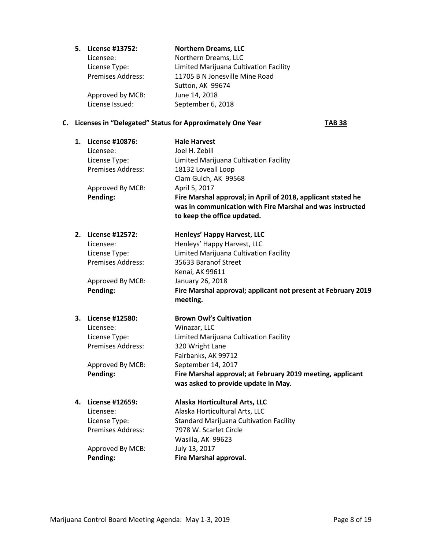**5. License #13752: Northern Dreams, LLC**

Licensee: Northern Dreams, LLC License Type: Limited Marijuana Cultivation Facility Premises Address: 11705 B N Jonesville Mine Road Sutton, AK 99674 Approved by MCB: June 14, 2018 License Issued: September 6, 2018

## **C. Licenses in "Delegated" Status for Approximately One Year TAB 38**

| 1. | License #10876:<br>Licensee:<br>License Type:<br>Premises Address: | <b>Hale Harvest</b><br>Joel H. Zebill<br>Limited Marijuana Cultivation Facility<br>18132 Loveall Loop<br>Clam Gulch, AK 99568                                             |
|----|--------------------------------------------------------------------|---------------------------------------------------------------------------------------------------------------------------------------------------------------------------|
|    | Approved By MCB:<br>Pending:                                       | April 5, 2017<br>Fire Marshal approval; in April of 2018, applicant stated he<br>was in communication with Fire Marshal and was instructed<br>to keep the office updated. |
| 2. | License #12572:                                                    | Henleys' Happy Harvest, LLC                                                                                                                                               |
|    | Licensee:                                                          | Henleys' Happy Harvest, LLC                                                                                                                                               |
|    | License Type:                                                      | Limited Marijuana Cultivation Facility                                                                                                                                    |
|    | Premises Address:                                                  | 35633 Baranof Street                                                                                                                                                      |
|    |                                                                    | Kenai, AK 99611                                                                                                                                                           |
|    | Approved By MCB:                                                   | January 26, 2018                                                                                                                                                          |
|    | Pending:                                                           | Fire Marshal approval; applicant not present at February 2019<br>meeting.                                                                                                 |
|    | 3. License #12580:                                                 | <b>Brown Owl's Cultivation</b>                                                                                                                                            |
|    | Licensee:                                                          | Winazar, LLC                                                                                                                                                              |
|    | License Type:                                                      | Limited Marijuana Cultivation Facility                                                                                                                                    |
|    | Premises Address:                                                  | 320 Wright Lane                                                                                                                                                           |
|    |                                                                    | Fairbanks, AK 99712                                                                                                                                                       |
|    | Approved By MCB:                                                   | September 14, 2017                                                                                                                                                        |
|    | Pending:                                                           | Fire Marshal approval; at February 2019 meeting, applicant<br>was asked to provide update in May.                                                                         |
|    | 4. License #12659:                                                 | Alaska Horticultural Arts, LLC                                                                                                                                            |
|    | Licensee:                                                          | Alaska Horticultural Arts, LLC                                                                                                                                            |
|    | License Type:                                                      | <b>Standard Marijuana Cultivation Facility</b>                                                                                                                            |
|    | <b>Premises Address:</b>                                           | 7978 W. Scarlet Circle                                                                                                                                                    |
|    |                                                                    | Wasilla, AK 99623                                                                                                                                                         |
|    | Approved By MCB:                                                   | July 13, 2017                                                                                                                                                             |
|    | Pending:                                                           | <b>Fire Marshal approval.</b>                                                                                                                                             |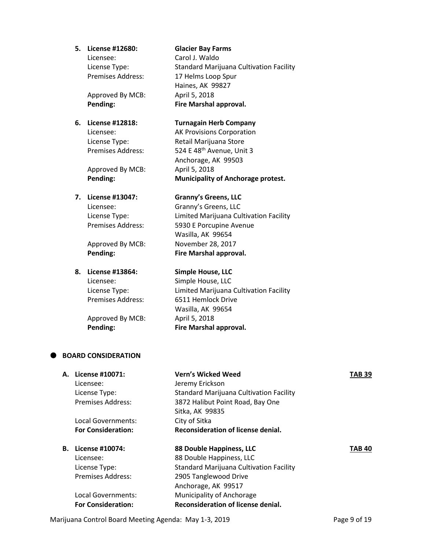**5. License #12680: Glacier Bay Farms**

Licensee: Carol J. Waldo

Approved By MCB: April 5, 2018

Approved By MCB: April 5, 2018

# **8. License #13864: Simple House, LLC**

Approved By MCB: April 5, 2018

License Type: Standard Marijuana Cultivation Facility Premises Address: 17 Helms Loop Spur Haines, AK 99827 **Pending: Fire Marshal approval.**

# **6. License #12818: Turnagain Herb Company**

Licensee: AK Provisions Corporation License Type: Retail Marijuana Store Premises Address: 524 E 48<sup>th</sup> Avenue, Unit 3 Anchorage, AK 99503 **Pending: Municipality of Anchorage protest.**

# **7. License #13047: Granny's Greens, LLC**

Licensee: Granny's Greens, LLC License Type: Limited Marijuana Cultivation Facility Premises Address: 5930 E Porcupine Avenue Wasilla, AK 99654 Approved By MCB: November 28, 2017 **Pending: Fire Marshal approval.**

Licensee: Simple House, LLC License Type: Limited Marijuana Cultivation Facility Premises Address: 6511 Hemlock Drive Wasilla, AK 99654 **Pending: Fire Marshal approval.**

# **BOARD CONSIDERATION**

|    | A. License #10071:        | <b>Vern's Wicked Weed</b>                      | <b>TAB 39</b> |
|----|---------------------------|------------------------------------------------|---------------|
|    | Licensee:                 | Jeremy Erickson                                |               |
|    | License Type:             | <b>Standard Marijuana Cultivation Facility</b> |               |
|    | Premises Address:         | 3872 Halibut Point Road, Bay One               |               |
|    |                           | Sitka, AK 99835                                |               |
|    | Local Governments:        | City of Sitka                                  |               |
|    | <b>For Consideration:</b> | Reconsideration of license denial.             |               |
| В. | License #10074:           | 88 Double Happiness, LLC                       | <b>TAB 40</b> |
|    | Licensee:                 | 88 Double Happiness, LLC                       |               |
|    | License Type:             | <b>Standard Marijuana Cultivation Facility</b> |               |
|    | Premises Address:         | 2905 Tanglewood Drive                          |               |
|    |                           | Anchorage, AK 99517                            |               |
|    |                           |                                                |               |
|    | Local Governments:        | Municipality of Anchorage                      |               |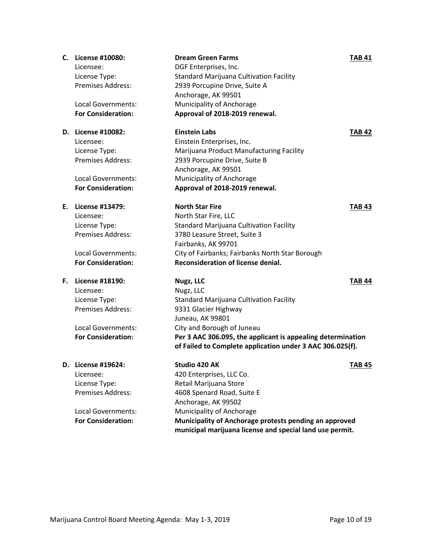|    | C. License #10080:<br>Licensee:<br>License Type:<br><b>Premises Address:</b><br>Local Governments:<br><b>For Consideration:</b>        | <b>Dream Green Farms</b><br>DGF Enterprises, Inc.<br><b>Standard Marijuana Cultivation Facility</b><br>2939 Porcupine Drive, Suite A<br>Anchorage, AK 99501<br>Municipality of Anchorage<br>Approval of 2018-2019 renewal.                                                     | <b>TAB 41</b> |
|----|----------------------------------------------------------------------------------------------------------------------------------------|--------------------------------------------------------------------------------------------------------------------------------------------------------------------------------------------------------------------------------------------------------------------------------|---------------|
|    | D. License #10082:<br>Licensee:<br>License Type:<br><b>Premises Address:</b><br>Local Governments:<br><b>For Consideration:</b>        | <b>Einstein Labs</b><br>Einstein Enterprises, Inc.<br>Marijuana Product Manufacturing Facility<br>2939 Porcupine Drive, Suite B<br>Anchorage, AK 99501<br>Municipality of Anchorage<br>Approval of 2018-2019 renewal.                                                          | <b>TAB 42</b> |
|    | E. License #13479:<br>Licensee:<br>License Type:<br><b>Premises Address:</b><br>Local Governments:<br><b>For Consideration:</b>        | <b>North Star Fire</b><br>North Star Fire, LLC<br><b>Standard Marijuana Cultivation Facility</b><br>3780 Leasure Street, Suite 3<br>Fairbanks, AK 99701<br>City of Fairbanks; Fairbanks North Star Borough<br>Reconsideration of license denial.                               | <b>TAB 43</b> |
|    | F. License #18190:<br>Licensee:<br>License Type:<br><b>Premises Address:</b><br><b>Local Governments:</b><br><b>For Consideration:</b> | Nugz, LLC<br>Nugz, LLC<br><b>Standard Marijuana Cultivation Facility</b><br>9331 Glacier Highway<br>Juneau, AK 99801<br>City and Borough of Juneau<br>Per 3 AAC 306.095, the applicant is appealing determination<br>of Failed to Complete application under 3 AAC 306.025(f). | <b>TAB 44</b> |
| D. | License #19624:<br>Licensee:<br>License Type:<br>Premises Address:<br>Local Governments:<br><b>For Consideration:</b>                  | Studio 420 AK<br>420 Enterprises, LLC Co.<br>Retail Marijuana Store<br>4608 Spenard Road, Suite E<br>Anchorage, AK 99502<br>Municipality of Anchorage<br>Municipality of Anchorage protests pending an approved<br>municipal marijuana license and special land use permit.    | <b>TAB 45</b> |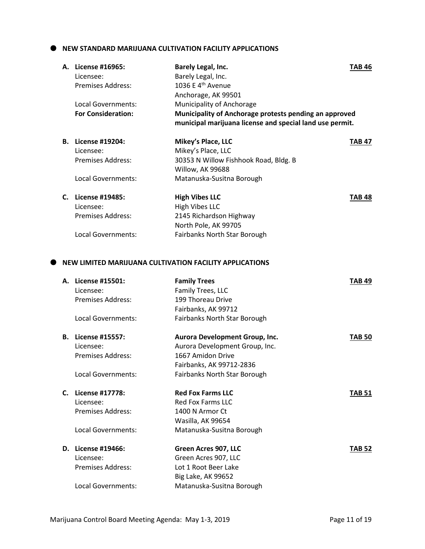## **NEW STANDARD MARIJUANA CULTIVATION FACILITY APPLICATIONS**

|    | A. License #16965:<br>Licensee:<br><b>Premises Address:</b> | Barely Legal, Inc.<br>Barely Legal, Inc.<br>1036 E 4 <sup>th</sup> Avenue<br>Anchorage, AK 99501                                                | <b>TAB 46</b> |
|----|-------------------------------------------------------------|-------------------------------------------------------------------------------------------------------------------------------------------------|---------------|
|    | Local Governments:<br><b>For Consideration:</b>             | Municipality of Anchorage<br>Municipality of Anchorage protests pending an approved<br>municipal marijuana license and special land use permit. |               |
|    | <b>B.</b> License #19204:                                   | Mikey's Place, LLC                                                                                                                              | <b>TAB 47</b> |
|    | Licensee:                                                   | Mikey's Place, LLC                                                                                                                              |               |
|    | <b>Premises Address:</b>                                    | 30353 N Willow Fishhook Road, Bldg. B<br>Willow, AK 99688                                                                                       |               |
|    | Local Governments:                                          | Matanuska-Susitna Borough                                                                                                                       |               |
|    | C. License #19485:                                          | <b>High Vibes LLC</b>                                                                                                                           | TAB 48        |
|    | Licensee:                                                   | <b>High Vibes LLC</b>                                                                                                                           |               |
|    | <b>Premises Address:</b>                                    | 2145 Richardson Highway                                                                                                                         |               |
|    |                                                             | North Pole, AK 99705                                                                                                                            |               |
|    | Local Governments:                                          | Fairbanks North Star Borough                                                                                                                    |               |
|    |                                                             | NEW LIMITED MARIJUANA CULTIVATION FACILITY APPLICATIONS                                                                                         |               |
|    | A. License #15501:                                          | <b>Family Trees</b>                                                                                                                             | <b>TAB 49</b> |
|    | Licensee:                                                   | Family Trees, LLC                                                                                                                               |               |
|    | <b>Premises Address:</b>                                    | 199 Thoreau Drive                                                                                                                               |               |
|    |                                                             | Fairbanks, AK 99712                                                                                                                             |               |
|    | <b>Local Governments:</b>                                   | Fairbanks North Star Borough                                                                                                                    |               |
| В. | License #15557:                                             | Aurora Development Group, Inc.                                                                                                                  | <b>TAB 50</b> |
|    | Licensee:                                                   | Aurora Development Group, Inc.                                                                                                                  |               |
|    | <b>Premises Address:</b>                                    | 1667 Amidon Drive                                                                                                                               |               |
|    | <b>Local Governments:</b>                                   | Fairbanks, AK 99712-2836<br>Fairbanks North Star Borough                                                                                        |               |
|    |                                                             |                                                                                                                                                 |               |
|    | C. License #17778:                                          | <b>Red Fox Farms LLC</b>                                                                                                                        | <b>TAB 51</b> |
|    | Licensee:                                                   | <b>Red Fox Farms LLC</b>                                                                                                                        |               |
|    | <b>Premises Address:</b>                                    | 1400 N Armor Ct                                                                                                                                 |               |
|    |                                                             | Wasilla, AK 99654                                                                                                                               |               |
|    | Local Governments:                                          | Matanuska-Susitna Borough                                                                                                                       |               |
|    | D. License #19466:                                          | Green Acres 907, LLC                                                                                                                            | <b>TAB 52</b> |
|    | Licensee:                                                   | Green Acres 907, LLC                                                                                                                            |               |
|    | <b>Premises Address:</b>                                    | Lot 1 Root Beer Lake                                                                                                                            |               |
|    |                                                             | <b>Big Lake, AK 99652</b>                                                                                                                       |               |
|    | Local Governments:                                          | Matanuska-Susitna Borough                                                                                                                       |               |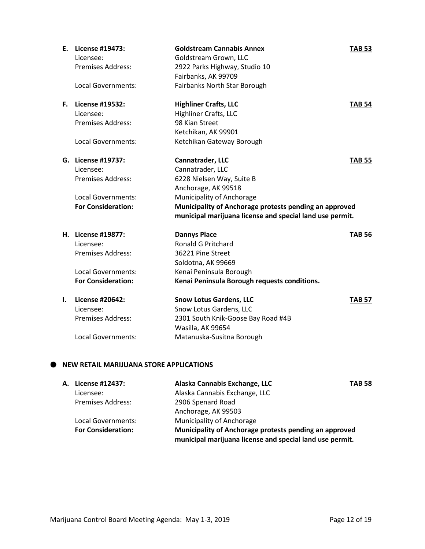| Ε. | License #19473:<br>Licensee:<br><b>Premises Address:</b><br><b>Local Governments:</b>                          | <b>Goldstream Cannabis Annex</b><br>Goldstream Grown, LLC<br>2922 Parks Highway, Studio 10<br>Fairbanks, AK 99709<br>Fairbanks North Star Borough                               | <b>TAB 53</b> |
|----|----------------------------------------------------------------------------------------------------------------|---------------------------------------------------------------------------------------------------------------------------------------------------------------------------------|---------------|
|    | <b>F.</b> License #19532:<br>Licensee:<br><b>Premises Address:</b><br><b>Local Governments:</b>                | <b>Highliner Crafts, LLC</b><br><b>Highliner Crafts, LLC</b><br>98 Kian Street<br>Ketchikan, AK 99901<br>Ketchikan Gateway Borough                                              | <b>TAB 54</b> |
|    | G. License #19737:<br>Licensee:<br><b>Premises Address:</b><br>Local Governments:<br><b>For Consideration:</b> | Cannatrader, LLC<br>Cannatrader, LLC<br>6228 Nielsen Way, Suite B<br>Anchorage, AK 99518<br>Municipality of Anchorage<br>Municipality of Anchorage protests pending an approved | <b>TAB 55</b> |
|    |                                                                                                                | municipal marijuana license and special land use permit.                                                                                                                        |               |
|    | H. License #19877:<br>Licensee:<br><b>Premises Address:</b><br>Local Governments:<br><b>For Consideration:</b> | <b>Dannys Place</b><br><b>Ronald G Pritchard</b><br>36221 Pine Street<br>Soldotna, AK 99669<br>Kenai Peninsula Borough<br>Kenai Peninsula Borough requests conditions.          | <b>TAB 56</b> |
| I. | License #20642:<br>Licensee:<br><b>Premises Address:</b><br><b>Local Governments:</b>                          | <b>Snow Lotus Gardens, LLC</b><br>Snow Lotus Gardens, LLC<br>2301 South Knik-Goose Bay Road #4B<br>Wasilla, AK 99654<br>Matanuska-Susitna Borough                               | <b>TAB 57</b> |

# **NEW RETAIL MARIJUANA STORE APPLICATIONS**

| A. License #12437:        | Alaska Cannabis Exchange, LLC                                                                                      | <b>TAB 58</b> |
|---------------------------|--------------------------------------------------------------------------------------------------------------------|---------------|
| Licensee:                 | Alaska Cannabis Exchange, LLC                                                                                      |               |
| <b>Premises Address:</b>  | 2906 Spenard Road                                                                                                  |               |
|                           | Anchorage, AK 99503                                                                                                |               |
| Local Governments:        | Municipality of Anchorage                                                                                          |               |
| <b>For Consideration:</b> | Municipality of Anchorage protests pending an approved<br>municipal marijuana license and special land use permit. |               |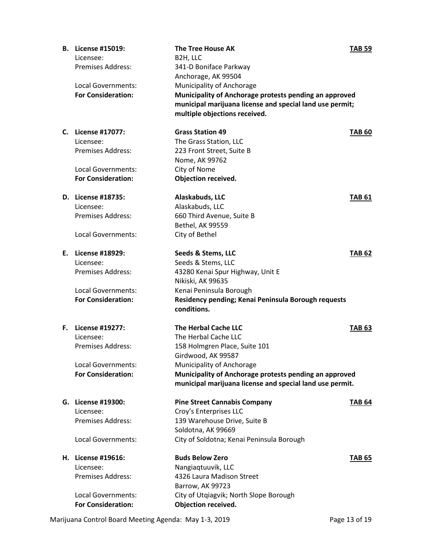| В. | License #15019:           | <b>The Tree House AK</b>                                 | <b>TAB 59</b> |
|----|---------------------------|----------------------------------------------------------|---------------|
|    | Licensee:                 | B2H, LLC                                                 |               |
|    | <b>Premises Address:</b>  | 341-D Boniface Parkway                                   |               |
|    |                           | Anchorage, AK 99504                                      |               |
|    | Local Governments:        | Municipality of Anchorage                                |               |
|    | <b>For Consideration:</b> | Municipality of Anchorage protests pending an approved   |               |
|    |                           | municipal marijuana license and special land use permit; |               |
|    |                           | multiple objections received.                            |               |
|    |                           |                                                          |               |
|    | C. License #17077:        | <b>Grass Station 49</b>                                  | <b>TAB 60</b> |
|    | Licensee:                 | The Grass Station, LLC                                   |               |
|    | <b>Premises Address:</b>  | 223 Front Street, Suite B                                |               |
|    |                           |                                                          |               |
|    |                           | Nome, AK 99762                                           |               |
|    | Local Governments:        | City of Nome                                             |               |
|    | <b>For Consideration:</b> | <b>Objection received.</b>                               |               |
|    | D. License #18735:        | Alaskabuds, LLC                                          | <b>TAB 61</b> |
|    | Licensee:                 | Alaskabuds, LLC                                          |               |
|    | <b>Premises Address:</b>  | 660 Third Avenue, Suite B                                |               |
|    |                           | Bethel, AK 99559                                         |               |
|    |                           |                                                          |               |
|    | Local Governments:        | City of Bethel                                           |               |
|    | E. License #18929:        | Seeds & Stems, LLC                                       | <b>TAB 62</b> |
|    | Licensee:                 | Seeds & Stems, LLC                                       |               |
|    | <b>Premises Address:</b>  | 43280 Kenai Spur Highway, Unit E                         |               |
|    |                           | Nikiski, AK 99635                                        |               |
|    | Local Governments:        | Kenai Peninsula Borough                                  |               |
|    | <b>For Consideration:</b> | Residency pending; Kenai Peninsula Borough requests      |               |
|    |                           | conditions.                                              |               |
|    |                           |                                                          |               |
| F. | License #19277:           | <b>The Herbal Cache LLC</b>                              | <b>TAB 63</b> |
|    | Licensee:                 | The Herbal Cache LLC                                     |               |
|    | <b>Premises Address:</b>  | 158 Holmgren Place, Suite 101                            |               |
|    |                           | Girdwood, AK 99587                                       |               |
|    | Local Governments:        | Municipality of Anchorage                                |               |
|    | <b>For Consideration:</b> | Municipality of Anchorage protests pending an approved   |               |
|    |                           | municipal marijuana license and special land use permit. |               |
|    |                           |                                                          |               |
|    | G. License #19300:        | <b>Pine Street Cannabis Company</b>                      | <b>TAB 64</b> |
|    | Licensee:                 | Croy's Enterprises LLC                                   |               |
|    | <b>Premises Address:</b>  | 139 Warehouse Drive, Suite B                             |               |
|    |                           | Soldotna, AK 99669                                       |               |
|    | Local Governments:        | City of Soldotna; Kenai Peninsula Borough                |               |
|    |                           |                                                          |               |
|    | H. License #19616:        | <b>Buds Below Zero</b>                                   | <b>TAB 65</b> |
|    | Licensee:                 | Nangiaqtuuvik, LLC                                       |               |
|    | <b>Premises Address:</b>  | 4326 Laura Madison Street                                |               |
|    |                           | Barrow, AK 99723                                         |               |
|    | Local Governments:        | City of Utqiagvik; North Slope Borough                   |               |
|    | <b>For Consideration:</b> | <b>Objection received.</b>                               |               |
|    |                           |                                                          |               |

Marijuana Control Board Meeting Agenda: May 1-3, 2019 **Page 13 of 19** Page 13 of 19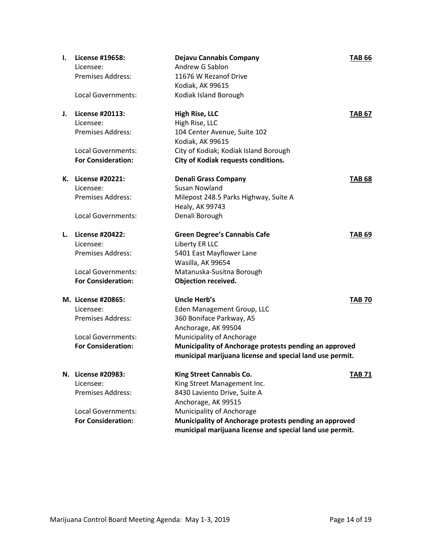| Ι. | License #19658:<br>Licensee:<br><b>Premises Address:</b>                                                              | Dejavu Cannabis Company<br>Andrew G Sablon<br>11676 W Rezanof Drive<br>Kodiak, AK 99615                                                                                                                                                                           | <b>TAB 66</b> |
|----|-----------------------------------------------------------------------------------------------------------------------|-------------------------------------------------------------------------------------------------------------------------------------------------------------------------------------------------------------------------------------------------------------------|---------------|
|    | Local Governments:                                                                                                    | Kodiak Island Borough                                                                                                                                                                                                                                             |               |
| J. | License #20113:<br>Licensee:<br><b>Premises Address:</b><br>Local Governments:<br><b>For Consideration:</b>           | <b>High Rise, LLC</b><br>High Rise, LLC<br>104 Center Avenue, Suite 102<br>Kodiak, AK 99615<br>City of Kodiak; Kodiak Island Borough<br><b>City of Kodiak requests conditions.</b>                                                                                | <b>TAB 67</b> |
| К. | License #20221:<br>Licensee:<br><b>Premises Address:</b>                                                              | <b>Denali Grass Company</b><br><b>Susan Nowland</b><br>Milepost 248.5 Parks Highway, Suite A<br>Healy, AK 99743                                                                                                                                                   | <b>TAB 68</b> |
|    | Local Governments:                                                                                                    | Denali Borough                                                                                                                                                                                                                                                    |               |
| L. | License #20422:<br>Licensee:<br><b>Premises Address:</b><br>Local Governments:<br><b>For Consideration:</b>           | <b>Green Degree's Cannabis Cafe</b><br>Liberty ER LLC<br>5401 East Mayflower Lane<br>Wasilla, AK 99654<br>Matanuska-Susitna Borough<br><b>Objection received.</b>                                                                                                 | <b>TAB 69</b> |
|    | M. License #20865:<br>Licensee:<br><b>Premises Address:</b><br><b>Local Governments:</b><br><b>For Consideration:</b> | <b>Uncle Herb's</b><br>Eden Management Group, LLC<br>360 Boniface Parkway, A5<br>Anchorage, AK 99504<br>Municipality of Anchorage<br>Municipality of Anchorage protests pending an approved<br>municipal marijuana license and special land use permit.           | <b>TAB 70</b> |
|    | N. License #20983:<br>Licensee:<br><b>Premises Address:</b><br><b>Local Governments:</b><br><b>For Consideration:</b> | King Street Cannabis Co.<br>King Street Management Inc.<br>8430 Laviento Drive, Suite A<br>Anchorage, AK 99515<br>Municipality of Anchorage<br>Municipality of Anchorage protests pending an approved<br>municipal marijuana license and special land use permit. | <b>TAB 71</b> |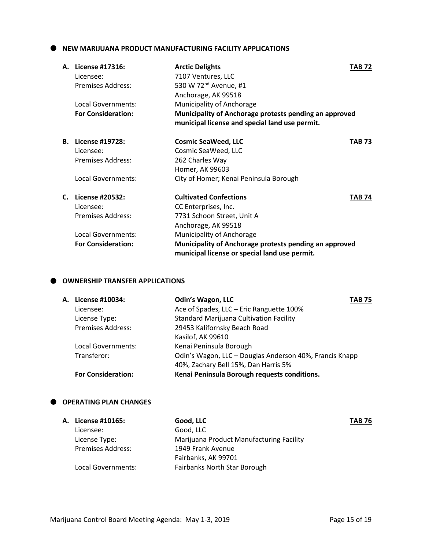**NEW MARIJUANA PRODUCT MANUFACTURING FACILITY APPLICATIONS**

| А. | License #17316:           | <b>Arctic Delights</b>                                 | TAB 72        |
|----|---------------------------|--------------------------------------------------------|---------------|
|    | Licensee:                 | 7107 Ventures, LLC                                     |               |
|    | <b>Premises Address:</b>  | 530 W 72 <sup>nd</sup> Avenue, #1                      |               |
|    |                           | Anchorage, AK 99518                                    |               |
|    | Local Governments:        | Municipality of Anchorage                              |               |
|    | <b>For Consideration:</b> | Municipality of Anchorage protests pending an approved |               |
|    |                           | municipal license and special land use permit.         |               |
| В. | License #19728:           | <b>Cosmic SeaWeed, LLC</b>                             | TAB 73        |
|    | Licensee:                 | Cosmic SeaWeed, LLC                                    |               |
|    | <b>Premises Address:</b>  | 262 Charles Way                                        |               |
|    |                           | Homer, AK 99603                                        |               |
|    | Local Governments:        | City of Homer; Kenai Peninsula Borough                 |               |
| C. | License #20532:           | <b>Cultivated Confections</b>                          | <b>TAB 74</b> |
|    | Licensee:                 | CC Enterprises, Inc.                                   |               |
|    | Premises Address:         | 7731 Schoon Street, Unit A                             |               |
|    |                           | Anchorage, AK 99518                                    |               |
|    | Local Governments:        | Municipality of Anchorage                              |               |
|    | <b>For Consideration:</b> | Municipality of Anchorage protests pending an approved |               |
|    |                           | municipal license or special land use permit.          |               |

# $\bullet$  OWNERSHIP TRANSFER APPLICATIONS

| А. | License #10034:           | <b>Odin's Wagon, LLC</b>                                | TAB 75 |
|----|---------------------------|---------------------------------------------------------|--------|
|    | Licensee:                 | Ace of Spades, LLC - Eric Ranguette 100%                |        |
|    | License Type:             | <b>Standard Marijuana Cultivation Facility</b>          |        |
|    | <b>Premises Address:</b>  | 29453 Kalifornsky Beach Road                            |        |
|    |                           | Kasilof, AK 99610                                       |        |
|    | Local Governments:        | Kenai Peninsula Borough                                 |        |
|    | Transferor:               | Odin's Wagon, LLC - Douglas Anderson 40%, Francis Knapp |        |
|    |                           | 40%, Zachary Bell 15%, Dan Harris 5%                    |        |
|    | <b>For Consideration:</b> | Kenai Peninsula Borough requests conditions.            |        |
|    |                           |                                                         |        |

# **OPERATING PLAN CHANGES**

| A. License #10165:       | Good, LLC                                | <b>TAB 76</b> |
|--------------------------|------------------------------------------|---------------|
| Licensee:                | Good, LLC                                |               |
| License Type:            | Marijuana Product Manufacturing Facility |               |
| <b>Premises Address:</b> | 1949 Frank Avenue                        |               |
|                          | Fairbanks, AK 99701                      |               |
| Local Governments:       | Fairbanks North Star Borough             |               |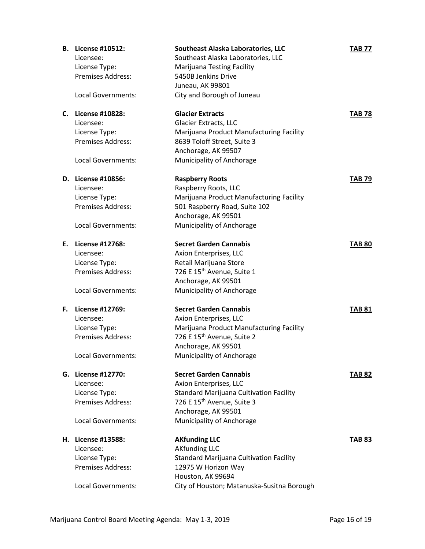| В. | License #10512:          | Southeast Alaska Laboratories, LLC             | <b>TAB 77</b> |
|----|--------------------------|------------------------------------------------|---------------|
|    | Licensee:                | Southeast Alaska Laboratories, LLC             |               |
|    | License Type:            | <b>Marijuana Testing Facility</b>              |               |
|    | Premises Address:        | 5450B Jenkins Drive                            |               |
|    |                          | Juneau, AK 99801                               |               |
|    | Local Governments:       | City and Borough of Juneau                     |               |
| C. | License #10828:          | <b>Glacier Extracts</b>                        | <b>TAB 78</b> |
|    | Licensee:                | <b>Glacier Extracts, LLC</b>                   |               |
|    | License Type:            | Marijuana Product Manufacturing Facility       |               |
|    | Premises Address:        | 8639 Toloff Street, Suite 3                    |               |
|    |                          | Anchorage, AK 99507                            |               |
|    | Local Governments:       | Municipality of Anchorage                      |               |
|    | D. License #10856:       | <b>Raspberry Roots</b>                         | <b>TAB 79</b> |
|    | Licensee:                | Raspberry Roots, LLC                           |               |
|    | License Type:            | Marijuana Product Manufacturing Facility       |               |
|    | Premises Address:        | 501 Raspberry Road, Suite 102                  |               |
|    |                          | Anchorage, AK 99501                            |               |
|    | Local Governments:       | Municipality of Anchorage                      |               |
| Е. | License #12768:          | <b>Secret Garden Cannabis</b>                  | <b>TAB 80</b> |
|    | Licensee:                | Axion Enterprises, LLC                         |               |
|    | License Type:            | Retail Marijuana Store                         |               |
|    | Premises Address:        | 726 E 15 <sup>th</sup> Avenue, Suite 1         |               |
|    |                          | Anchorage, AK 99501                            |               |
|    | Local Governments:       | Municipality of Anchorage                      |               |
| F. | License #12769:          | <b>Secret Garden Cannabis</b>                  | <b>TAB 81</b> |
|    | Licensee:                | Axion Enterprises, LLC                         |               |
|    | License Type:            | Marijuana Product Manufacturing Facility       |               |
|    | <b>Premises Address:</b> | 726 E 15 <sup>th</sup> Avenue, Suite 2         |               |
|    |                          | Anchorage, AK 99501                            |               |
|    | Local Governments:       | Municipality of Anchorage                      |               |
|    | G. License #12770:       | <b>Secret Garden Cannabis</b>                  | <b>TAB 82</b> |
|    | Licensee:                | Axion Enterprises, LLC                         |               |
|    | License Type:            | <b>Standard Marijuana Cultivation Facility</b> |               |
|    | Premises Address:        | 726 E 15 <sup>th</sup> Avenue, Suite 3         |               |
|    |                          | Anchorage, AK 99501                            |               |
|    | Local Governments:       | Municipality of Anchorage                      |               |
|    | H. License #13588:       | <b>AKfunding LLC</b>                           | TAB 83        |
|    | Licensee:                | <b>AKfunding LLC</b>                           |               |
|    | License Type:            | <b>Standard Marijuana Cultivation Facility</b> |               |
|    | Premises Address:        | 12975 W Horizon Way                            |               |
|    |                          | Houston, AK 99694                              |               |
|    | Local Governments:       | City of Houston; Matanuska-Susitna Borough     |               |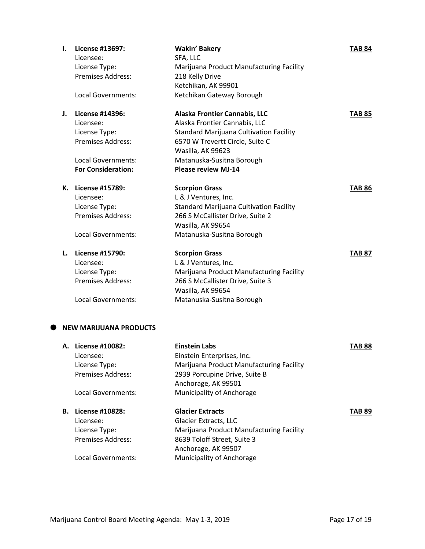| I. | License #13697:               | <b>Wakin' Bakery</b>                           | <b>TAB 84</b> |
|----|-------------------------------|------------------------------------------------|---------------|
|    | Licensee:                     | SFA, LLC                                       |               |
|    | License Type:                 | Marijuana Product Manufacturing Facility       |               |
|    | <b>Premises Address:</b>      | 218 Kelly Drive                                |               |
|    |                               | Ketchikan, AK 99901                            |               |
|    | Local Governments:            | Ketchikan Gateway Borough                      |               |
| J. | License #14396:               | Alaska Frontier Cannabis, LLC                  | <b>TAB 85</b> |
|    | Licensee:                     | Alaska Frontier Cannabis, LLC                  |               |
|    | License Type:                 | <b>Standard Marijuana Cultivation Facility</b> |               |
|    | Premises Address:             | 6570 W Trevertt Circle, Suite C                |               |
|    |                               | Wasilla, AK 99623                              |               |
|    | Local Governments:            | Matanuska-Susitna Borough                      |               |
|    | <b>For Consideration:</b>     | <b>Please review MJ-14</b>                     |               |
|    | K. License #15789:            | <b>Scorpion Grass</b>                          | <b>TAB 86</b> |
|    | Licensee:                     | L & J Ventures, Inc.                           |               |
|    | License Type:                 | <b>Standard Marijuana Cultivation Facility</b> |               |
|    | <b>Premises Address:</b>      | 266 S McCallister Drive, Suite 2               |               |
|    |                               | Wasilla, AK 99654                              |               |
|    | Local Governments:            | Matanuska-Susitna Borough                      |               |
| L. | License #15790:               | <b>Scorpion Grass</b>                          | <b>TAB 87</b> |
|    | Licensee:                     | L & J Ventures, Inc.                           |               |
|    | License Type:                 | Marijuana Product Manufacturing Facility       |               |
|    | <b>Premises Address:</b>      | 266 S McCallister Drive, Suite 3               |               |
|    |                               | Wasilla, AK 99654                              |               |
|    | <b>Local Governments:</b>     | Matanuska-Susitna Borough                      |               |
|    | <b>NEW MARIJUANA PRODUCTS</b> |                                                |               |
|    | A. License #10082:            | <b>Einstein Labs</b>                           | <b>TAB 88</b> |

|    | A. LICENSE #10082: | Einstein Labs                            | IAD 88        |
|----|--------------------|------------------------------------------|---------------|
|    | Licensee:          | Einstein Enterprises, Inc.               |               |
|    | License Type:      | Marijuana Product Manufacturing Facility |               |
|    | Premises Address:  | 2939 Porcupine Drive, Suite B            |               |
|    |                    | Anchorage, AK 99501                      |               |
|    | Local Governments: | Municipality of Anchorage                |               |
|    |                    | <b>Glacier Extracts</b>                  |               |
| В. | License #10828:    |                                          | <b>TAB 89</b> |
|    | Licensee:          | <b>Glacier Extracts, LLC</b>             |               |
|    | License Type:      | Marijuana Product Manufacturing Facility |               |
|    | Premises Address:  | 8639 Toloff Street, Suite 3              |               |
|    |                    | Anchorage, AK 99507                      |               |
|    | Local Governments: | Municipality of Anchorage                |               |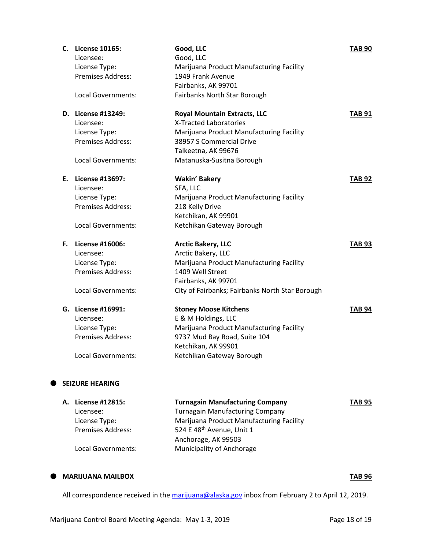|    | C. License 10165:<br>Licensee:<br>License Type: | Good, LLC<br>Good, LLC<br>Marijuana Product Manufacturing Facility | <b>TAB 90</b> |
|----|-------------------------------------------------|--------------------------------------------------------------------|---------------|
|    | Premises Address:                               | 1949 Frank Avenue                                                  |               |
|    |                                                 | Fairbanks, AK 99701                                                |               |
|    | <b>Local Governments:</b>                       | Fairbanks North Star Borough                                       |               |
|    | D. License #13249:                              | <b>Royal Mountain Extracts, LLC</b>                                | TAB 91        |
|    | Licensee:                                       | X-Tracted Laboratories                                             |               |
|    | License Type:                                   | Marijuana Product Manufacturing Facility                           |               |
|    | Premises Address:                               | 38957 S Commercial Drive                                           |               |
|    |                                                 | Talkeetna, AK 99676                                                |               |
|    | Local Governments:                              | Matanuska-Susitna Borough                                          |               |
|    | E. License #13697:                              | <b>Wakin' Bakery</b>                                               | <b>TAB 92</b> |
|    | Licensee:                                       | SFA, LLC                                                           |               |
|    | License Type:                                   | Marijuana Product Manufacturing Facility                           |               |
|    | Premises Address:                               | 218 Kelly Drive                                                    |               |
|    |                                                 | Ketchikan, AK 99901                                                |               |
|    | Local Governments:                              | Ketchikan Gateway Borough                                          |               |
| F. | License #16006:                                 | <b>Arctic Bakery, LLC</b>                                          | TAB 93        |
|    | Licensee:                                       | Arctic Bakery, LLC                                                 |               |
|    | License Type:                                   | Marijuana Product Manufacturing Facility                           |               |
|    | Premises Address:                               | 1409 Well Street                                                   |               |
|    |                                                 | Fairbanks, AK 99701                                                |               |
|    | Local Governments:                              | City of Fairbanks; Fairbanks North Star Borough                    |               |
|    | G. License #16991:                              | <b>Stoney Moose Kitchens</b>                                       | TAB 94        |
|    | Licensee:                                       | E & M Holdings, LLC                                                |               |
|    | License Type:                                   | Marijuana Product Manufacturing Facility                           |               |
|    | Premises Address:                               | 9737 Mud Bay Road, Suite 104                                       |               |
|    |                                                 | Ketchikan, AK 99901                                                |               |
|    | <b>Local Governments:</b>                       | Ketchikan Gateway Borough                                          |               |
|    |                                                 |                                                                    |               |
|    | <b>SEIZURE HEARING</b>                          |                                                                    |               |

| A. License #12815:       | <b>Turnagain Manufacturing Company</b>   | <b>TAB 95</b> |
|--------------------------|------------------------------------------|---------------|
| Licensee:                | <b>Turnagain Manufacturing Company</b>   |               |
| License Type:            | Marijuana Product Manufacturing Facility |               |
| <b>Premises Address:</b> | 524 E 48 <sup>th</sup> Avenue, Unit 1    |               |
|                          | Anchorage, AK 99503                      |               |
| Local Governments:       | <b>Municipality of Anchorage</b>         |               |
|                          |                                          |               |

## **MARIJUANA MAILBOX TAB 96**

All correspondence received in th[e marijuana@alaska.gov](mailto:marijuana@alaska.gov) inbox from February 2 to April 12, 2019.